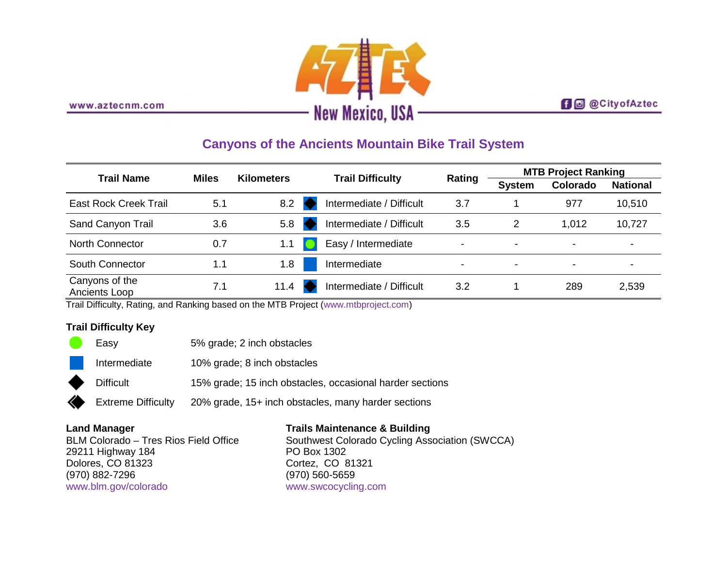

### **f** @ @ City of Aztec

## **Canyons of the Ancients Mountain Bike Trail System**

| <b>Trail Name</b>               | <b>Miles</b> | <b>Kilometers</b> | <b>Trail Difficulty</b>  | Rating                   | <b>MTB Project Ranking</b> |                          |                 |
|---------------------------------|--------------|-------------------|--------------------------|--------------------------|----------------------------|--------------------------|-----------------|
|                                 |              |                   |                          |                          | <b>System</b>              | Colorado                 | <b>National</b> |
| East Rock Creek Trail           | 5.1          | 8.2               | Intermediate / Difficult | 3.7                      |                            | 977                      | 10,510          |
| Sand Canyon Trail               | 3.6          | 5.8               | Intermediate / Difficult | 3.5                      | 2                          | 1,012                    | 10,727          |
| <b>North Connector</b>          | 0.7          |                   | Easy / Intermediate      | $\overline{\phantom{a}}$ | $\blacksquare$             | $\overline{\phantom{0}}$ | -               |
| South Connector                 | 1.1          | 1.8               | Intermediate             | $\overline{\phantom{0}}$ | $\overline{\phantom{0}}$   | $\overline{\phantom{0}}$ | ۰               |
| Canyons of the<br>Ancients Loop | 7.1          | 11.4              | Intermediate / Difficult | 3.2                      |                            | 289                      | 2,539           |

Trail Difficulty, Rating, and Ranking based on the MTB Project [\(www.mtbproject.com\)](http://www.mtbproject.com/)

### **Trail Difficulty Key**

| Easy             | 5% grade; 2 inch obstacles                               |
|------------------|----------------------------------------------------------|
| Intermediate     | 10% grade; 8 inch obstacles                              |
| <b>Difficult</b> | 15% grade; 15 inch obstacles, occasional harder sections |

Extreme Difficulty 20% grade, 15+ inch obstacles, many harder sections

#### **Land Manager**

BLM Colorado – Tres Rios Field Office 29211 Highway 184 Dolores, CO 81323 (970) 882-7296 [www.blm.gov/colorado](http://www.blm.gov/colorado)

## **Trails Maintenance & Building**

Southwest Colorado Cycling Association (SWCCA) PO Box 1302 Cortez, CO 81321 (970) 560-5659 [www.swcocycling.com](http://www.swcocycling.com/)